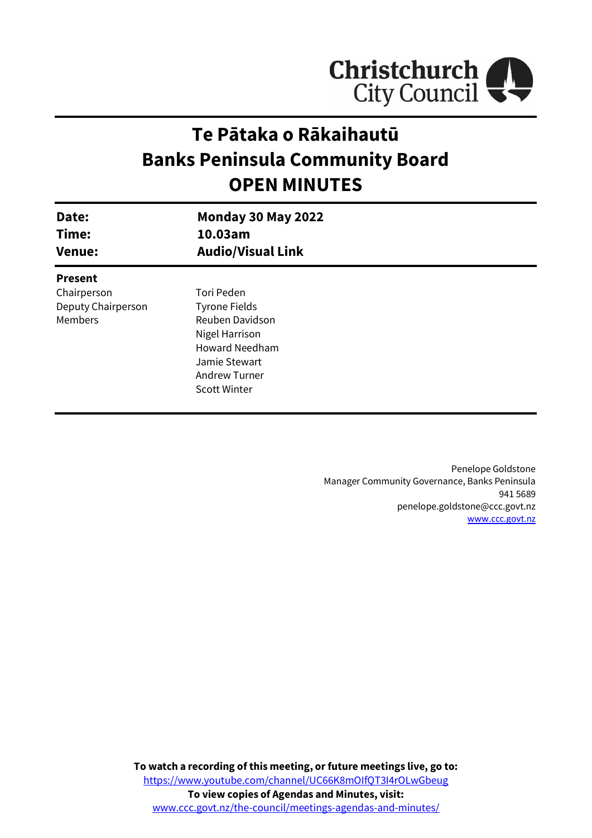

# **Te Pātaka o Rākaihautū Banks Peninsula Community Board OPEN MINUTES**

| Date:<br>Time:<br><b>Venue:</b> | <b>Monday 30 May 2022</b><br>10.03am<br><b>Audio/Visual Link</b> |  |
|---------------------------------|------------------------------------------------------------------|--|
| <b>Present</b>                  |                                                                  |  |
| Chairperson                     | Tori Peden                                                       |  |
| Deputy Chairperson              | <b>Tyrone Fields</b>                                             |  |
| <b>Members</b>                  | Reuben Davidson                                                  |  |
|                                 | Nigel Harrison                                                   |  |
|                                 | <b>Howard Needham</b>                                            |  |
|                                 | Jamie Stewart                                                    |  |
|                                 | <b>Andrew Turner</b>                                             |  |
|                                 | <b>Scott Winter</b>                                              |  |
|                                 |                                                                  |  |

Penelope Goldstone Manager Community Governance, Banks Peninsula 941 5689 penelope.goldstone@ccc.govt.nz [www.ccc.govt.nz](http://www.ccc.govt.nz/)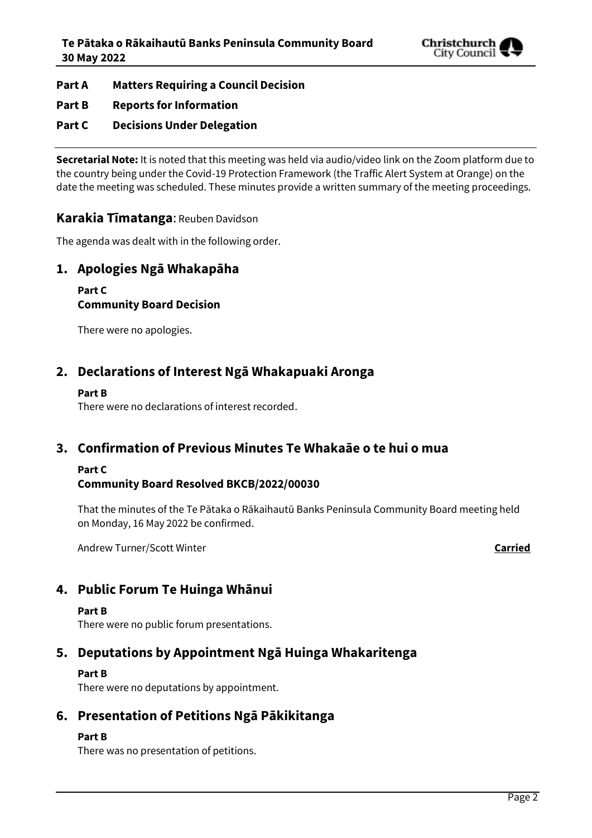

- **Part A Matters Requiring a Council Decision**
- **Part B Reports for Information**
- **Part C Decisions Under Delegation**

**Secretarial Note:** It is noted that this meeting was held via audio/video link on the Zoom platform due to the country being under the Covid-19 Protection Framework (the Traffic Alert System at Orange) on the date the meeting was scheduled. These minutes provide a written summary of the meeting proceedings.

## **Karakia Tīmatanga**: Reuben Davidson

The agenda was dealt with in the following order.

# **1. Apologies Ngā Whakapāha**

#### **Part C Community Board Decision**

There were no apologies.

# **2. Declarations of Interest Ngā Whakapuaki Aronga**

#### **Part B**

There were no declarations of interest recorded.

# **3. Confirmation of Previous Minutes Te Whakaāe o te hui o mua**

## **Part C**

## **Community Board Resolved BKCB/2022/00030**

That the minutes of the Te Pātaka o Rākaihautū Banks Peninsula Community Board meeting held on Monday, 16 May 2022 be confirmed.

Andrew Turner/Scott Winter **Carried**

# **4. Public Forum Te Huinga Whānui**

#### **Part B**

There were no public forum presentations.

# **5. Deputations by Appointment Ngā Huinga Whakaritenga**

## **Part B**

There were no deputations by appointment.

# **6. Presentation of Petitions Ngā Pākikitanga**

## **Part B**

There was no presentation of petitions.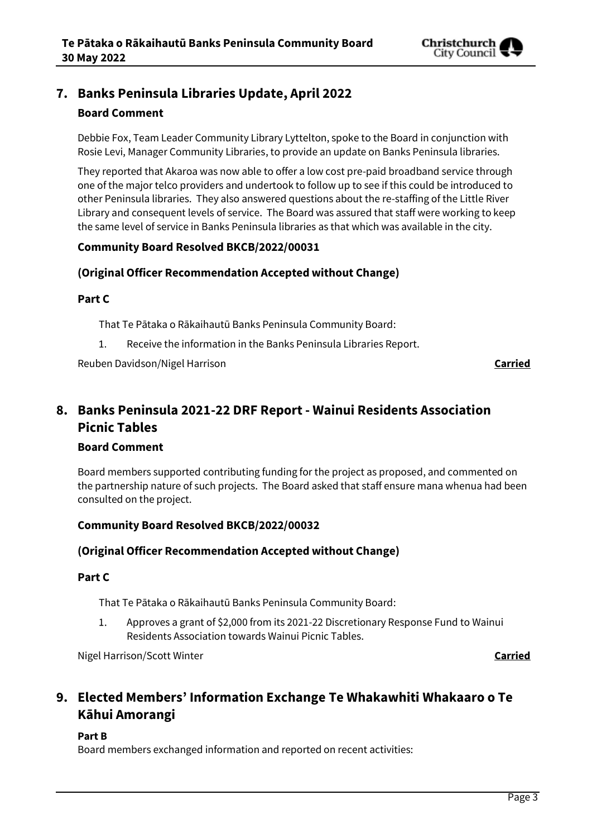

# **7. Banks Peninsula Libraries Update, April 2022**

## **Board Comment**

Debbie Fox, Team Leader Community Library Lyttelton, spoke to the Board in conjunction with Rosie Levi, Manager Community Libraries, to provide an update on Banks Peninsula libraries.

They reported that Akaroa was now able to offer a low cost pre-paid broadband service through one of the major telco providers and undertook to follow up to see if this could be introduced to other Peninsula libraries. They also answered questions about the re-staffing of the Little River Library and consequent levels of service. The Board was assured that staff were working to keep the same level of service in Banks Peninsula libraries as that which was available in the city.

#### **Community Board Resolved BKCB/2022/00031**

## **(Original Officer Recommendation Accepted without Change)**

#### **Part C**

That Te Pātaka o Rākaihautū Banks Peninsula Community Board:

1. Receive the information in the Banks Peninsula Libraries Report.

Reuben Davidson/Nigel Harrison **Carried**

# **8. Banks Peninsula 2021-22 DRF Report - Wainui Residents Association Picnic Tables**

## **Board Comment**

Board members supported contributing funding for the project as proposed, and commented on the partnership nature of such projects. The Board asked that staff ensure mana whenua had been consulted on the project.

## **Community Board Resolved BKCB/2022/00032**

## **(Original Officer Recommendation Accepted without Change)**

#### **Part C**

That Te Pātaka o Rākaihautū Banks Peninsula Community Board:

1. Approves a grant of \$2,000 from its 2021-22 Discretionary Response Fund to Wainui Residents Association towards Wainui Picnic Tables.

Nigel Harrison/Scott Winter **Carried**

# **9. Elected Members' Information Exchange Te Whakawhiti Whakaaro o Te Kāhui Amorangi**

#### **Part B**

Board members exchanged information and reported on recent activities: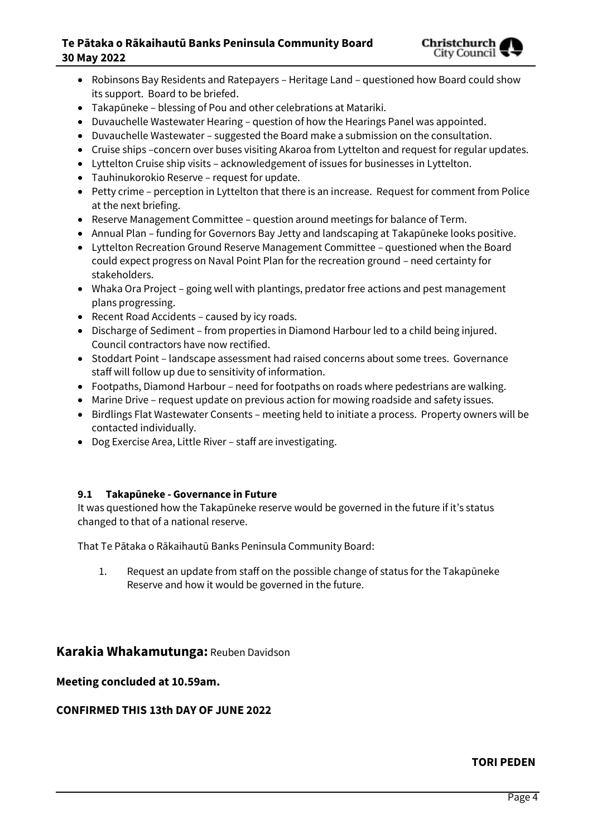## **Te Pātaka o Rākaihautū Banks Peninsula Community Board 30 May 2022**



- Robinsons Bay Residents and Ratepayers Heritage Land questioned how Board could show its support. Board to be briefed.
- Takapūneke blessing of Pou and other celebrations at Matariki.
- Duvauchelle Wastewater Hearing question of how the Hearings Panel was appointed.
- Duvauchelle Wastewater suggested the Board make a submission on the consultation.
- Cruise ships –concern over buses visiting Akaroa from Lyttelton and request for regular updates.
- Lyttelton Cruise ship visits acknowledgement of issues for businesses in Lyttelton.
- Tauhinukorokio Reserve request for update.
- Petty crime perception in Lyttelton that there is an increase. Request for comment from Police at the next briefing.
- Reserve Management Committee question around meetings for balance of Term.
- Annual Plan funding for Governors Bay Jetty and landscaping at Takapūneke looks positive.
- Lyttelton Recreation Ground Reserve Management Committee questioned when the Board could expect progress on Naval Point Plan for the recreation ground – need certainty for stakeholders.
- Whaka Ora Project going well with plantings, predator free actions and pest management plans progressing.
- Recent Road Accidents caused by icy roads.
- Discharge of Sediment from properties in Diamond Harbour led to a child being injured. Council contractors have now rectified.
- Stoddart Point landscape assessment had raised concerns about some trees. Governance staff will follow up due to sensitivity of information.
- Footpaths, Diamond Harbour need for footpaths on roads where pedestrians are walking.
- Marine Drive request update on previous action for mowing roadside and safety issues.
- Birdlings Flat Wastewater Consents meeting held to initiate a process. Property owners will be contacted individually.
- Dog Exercise Area, Little River staff are investigating.

#### **9.1 Takapūneke - Governance in Future**

It was questioned how the Takapūneke reserve would be governed in the future if it's status changed to that of a national reserve.

That Te Pātaka o Rākaihautū Banks Peninsula Community Board:

1. Request an update from staff on the possible change of status for the Takapūneke Reserve and how it would be governed in the future.

## **Karakia Whakamutunga:** Reuben Davidson

#### **Meeting concluded at 10.59am.**

## **CONFIRMED THIS 13th DAY OF JUNE 2022**

#### **TORI PEDEN**